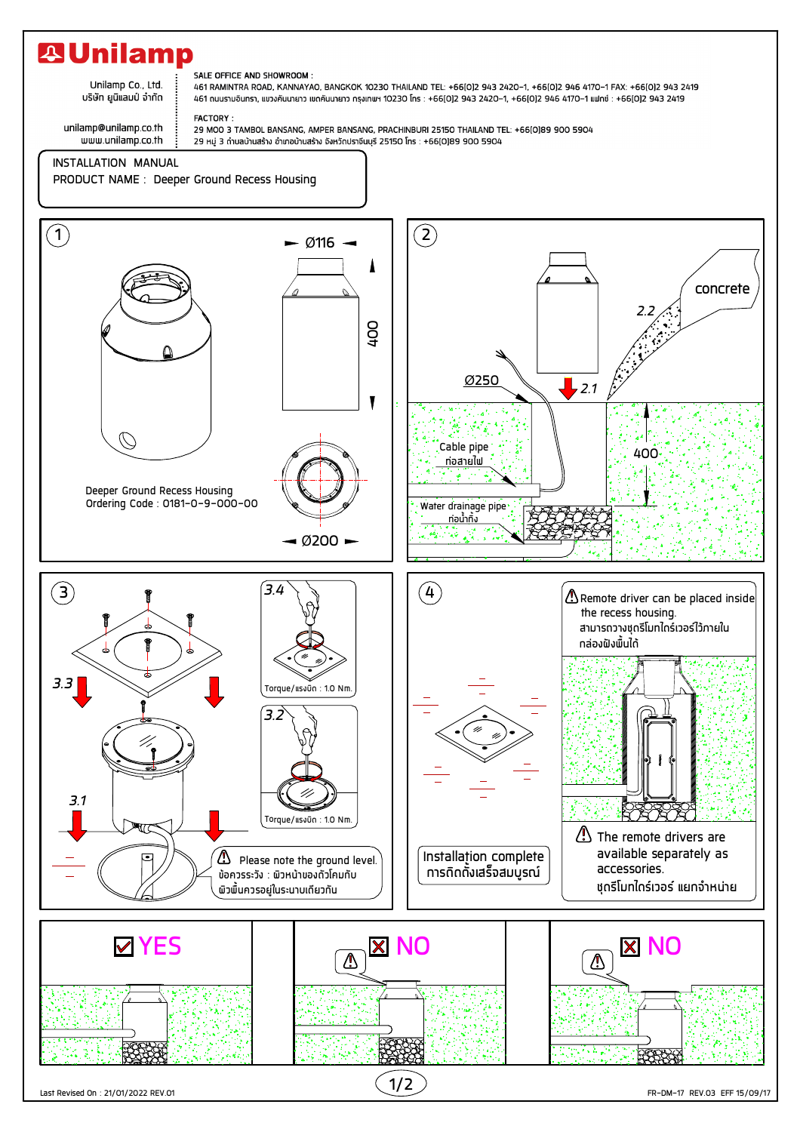## **A Unilamp**

Unilamp Co., Ltd. บริษัท ยูนิแลมป์ จำกัด

## SALE OFFICE AND SHOWROOM :

461 RAMINTRA ROAD, KANNAYAO, BANGKOK 10230 THAILAND TEL: +66[0]2 943 2420-1, +66[0]2 946 4170-1 FAX: +66[0]2 943 2419 461 ถนนรามอินทรา, แขวงคันนายาว เขตคันนายาว กรุงเทพฯ 10230 โทร : +66(0)2 943 2420–1, +66(0)2 946 4170–1 แฟกซ์ : +66(0)2 943 2419

unilamp@unilamp.co.th www.unilamp.co.th FACTORY: 29 MOO 3 TAMBOL BANSANG, AMPER BANSANG, PRACHINBURI 25150 THAILAND TEL: +66[0]89 900 5904 29 หมู่ 3 ถ้าบลบ้านสร้าง อำเภอบ้านสร้าง จังหวัดปราจีนบุรี 25150 โทร : +66(0)89 900 5904

## INSTALLATION MANUAL

PRODUCT NAME : Deeper Ground Recess Housing



FR-DM-17 REV.03 EFF 15/09/17